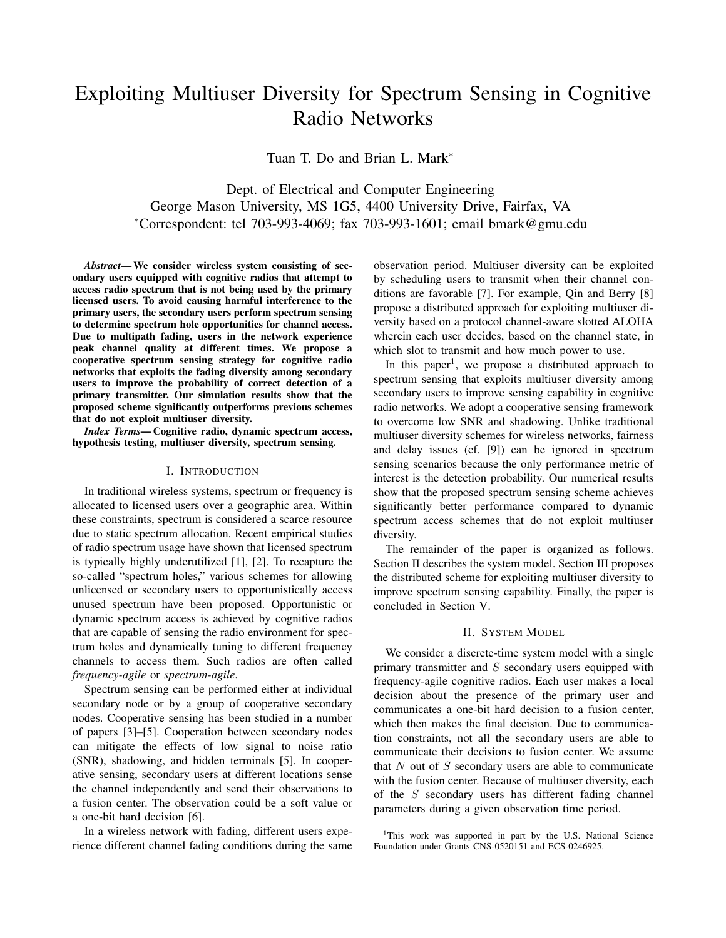# Exploiting Multiuser Diversity for Spectrum Sensing in Cognitive Radio Networks

Tuan T. Do and Brian L. Mark<sup>∗</sup>

Dept. of Electrical and Computer Engineering George Mason University, MS 1G5, 4400 University Drive, Fairfax, VA <sup>∗</sup>Correspondent: tel 703-993-4069; fax 703-993-1601; email bmark@gmu.edu

*Abstract*— We consider wireless system consisting of secondary users equipped with cognitive radios that attempt to access radio spectrum that is not being used by the primary licensed users. To avoid causing harmful interference to the primary users, the secondary users perform spectrum sensing to determine spectrum hole opportunities for channel access. Due to multipath fading, users in the network experience peak channel quality at different times. We propose a cooperative spectrum sensing strategy for cognitive radio networks that exploits the fading diversity among secondary users to improve the probability of correct detection of a primary transmitter. Our simulation results show that the proposed scheme significantly outperforms previous schemes that do not exploit multiuser diversity.

*Index Terms*— Cognitive radio, dynamic spectrum access, hypothesis testing, multiuser diversity, spectrum sensing.

#### I. INTRODUCTION

In traditional wireless systems, spectrum or frequency is allocated to licensed users over a geographic area. Within these constraints, spectrum is considered a scarce resource due to static spectrum allocation. Recent empirical studies of radio spectrum usage have shown that licensed spectrum is typically highly underutilized [1], [2]. To recapture the so-called "spectrum holes," various schemes for allowing unlicensed or secondary users to opportunistically access unused spectrum have been proposed. Opportunistic or dynamic spectrum access is achieved by cognitive radios that are capable of sensing the radio environment for spectrum holes and dynamically tuning to different frequency channels to access them. Such radios are often called *frequency-agile* or *spectrum-agile*.

Spectrum sensing can be performed either at individual secondary node or by a group of cooperative secondary nodes. Cooperative sensing has been studied in a number of papers [3]–[5]. Cooperation between secondary nodes can mitigate the effects of low signal to noise ratio (SNR), shadowing, and hidden terminals [5]. In cooperative sensing, secondary users at different locations sense the channel independently and send their observations to a fusion center. The observation could be a soft value or a one-bit hard decision [6].

In a wireless network with fading, different users experience different channel fading conditions during the same observation period. Multiuser diversity can be exploited by scheduling users to transmit when their channel conditions are favorable [7]. For example, Qin and Berry [8] propose a distributed approach for exploiting multiuser diversity based on a protocol channel-aware slotted ALOHA wherein each user decides, based on the channel state, in which slot to transmit and how much power to use.

In this paper<sup>1</sup>, we propose a distributed approach to spectrum sensing that exploits multiuser diversity among secondary users to improve sensing capability in cognitive radio networks. We adopt a cooperative sensing framework to overcome low SNR and shadowing. Unlike traditional multiuser diversity schemes for wireless networks, fairness and delay issues (cf. [9]) can be ignored in spectrum sensing scenarios because the only performance metric of interest is the detection probability. Our numerical results show that the proposed spectrum sensing scheme achieves significantly better performance compared to dynamic spectrum access schemes that do not exploit multiuser diversity.

The remainder of the paper is organized as follows. Section II describes the system model. Section III proposes the distributed scheme for exploiting multiuser diversity to improve spectrum sensing capability. Finally, the paper is concluded in Section V.

## II. SYSTEM MODEL

We consider a discrete-time system model with a single primary transmitter and  $S$  secondary users equipped with frequency-agile cognitive radios. Each user makes a local decision about the presence of the primary user and communicates a one-bit hard decision to a fusion center, which then makes the final decision. Due to communication constraints, not all the secondary users are able to communicate their decisions to fusion center. We assume that  $N$  out of  $S$  secondary users are able to communicate with the fusion center. Because of multiuser diversity, each of the S secondary users has different fading channel parameters during a given observation time period.

<sup>&</sup>lt;sup>1</sup>This work was supported in part by the U.S. National Science Foundation under Grants CNS-0520151 and ECS-0246925.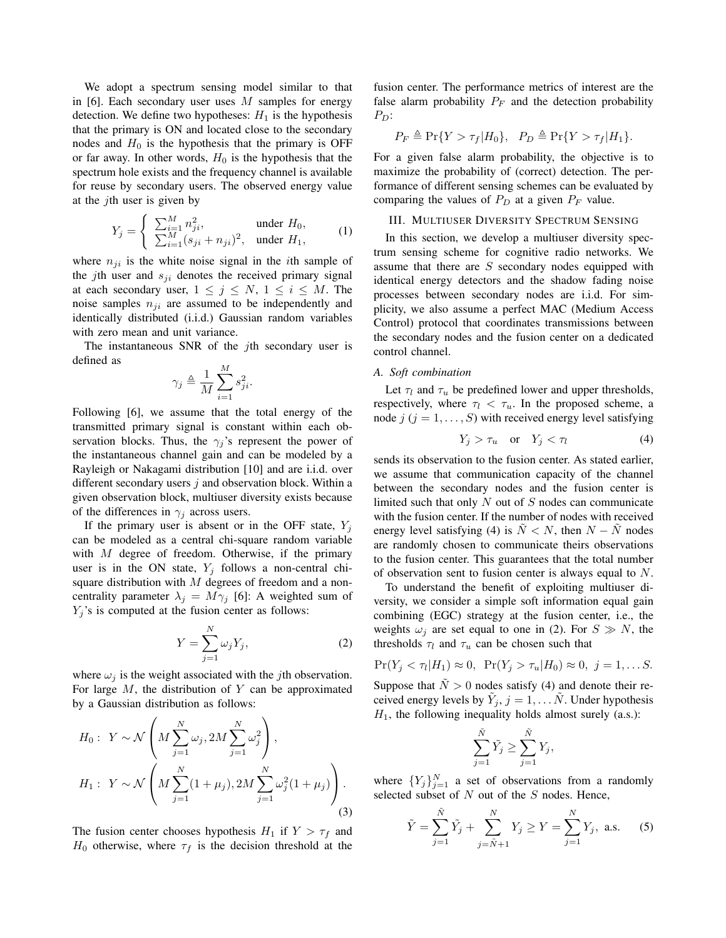We adopt a spectrum sensing model similar to that in [6]. Each secondary user uses  $M$  samples for energy detection. We define two hypotheses:  $H_1$  is the hypothesis that the primary is ON and located close to the secondary nodes and  $H_0$  is the hypothesis that the primary is OFF or far away. In other words,  $H_0$  is the hypothesis that the spectrum hole exists and the frequency channel is available for reuse by secondary users. The observed energy value at the *j*th user is given by

$$
Y_j = \begin{cases} \sum_{i=1}^{M} n_{ji}^2, & \text{under } H_0, \\ \sum_{i=1}^{M} (s_{ji} + n_{ji})^2, & \text{under } H_1, \end{cases}
$$
 (1)

where  $n_{ii}$  is the white noise signal in the *i*th sample of the jth user and  $s_{ji}$  denotes the received primary signal at each secondary user,  $1 \leq j \leq N$ ,  $1 \leq i \leq M$ . The noise samples  $n_{ji}$  are assumed to be independently and identically distributed (i.i.d.) Gaussian random variables with zero mean and unit variance.

The instantaneous SNR of the *j*th secondary user is defined as

$$
\gamma_j \triangleq \frac{1}{M} \sum_{i=1}^M s_{ji}^2.
$$

Following [6], we assume that the total energy of the transmitted primary signal is constant within each observation blocks. Thus, the  $\gamma_j$ 's represent the power of the instantaneous channel gain and can be modeled by a Rayleigh or Nakagami distribution [10] and are i.i.d. over different secondary users  $j$  and observation block. Within a given observation block, multiuser diversity exists because of the differences in  $\gamma_i$  across users.

If the primary user is absent or in the OFF state,  $Y_j$ can be modeled as a central chi-square random variable with  $M$  degree of freedom. Otherwise, if the primary user is in the ON state,  $Y_i$  follows a non-central chisquare distribution with  $M$  degrees of freedom and a noncentrality parameter  $\lambda_j = M \gamma_j$  [6]: A weighted sum of  $Y_j$ 's is computed at the fusion center as follows:

$$
Y = \sum_{j=1}^{N} \omega_j Y_j,
$$
 (2)

where  $\omega_i$  is the weight associated with the *j*th observation. For large  $M$ , the distribution of  $Y$  can be approximated by a Gaussian distribution as follows:

$$
H_0: Y \sim \mathcal{N}\left(M\sum_{j=1}^N \omega_j, 2M\sum_{j=1}^N \omega_j^2\right),
$$
  

$$
H_1: Y \sim \mathcal{N}\left(M\sum_{j=1}^N (1+\mu_j), 2M\sum_{j=1}^N \omega_j^2 (1+\mu_j)\right).
$$
  
(3)

The fusion center chooses hypothesis  $H_1$  if  $Y > \tau_f$  and  $H_0$  otherwise, where  $\tau_f$  is the decision threshold at the fusion center. The performance metrics of interest are the false alarm probability  $P_F$  and the detection probability  $P_D$ :

$$
P_F \triangleq \Pr\{Y > \tau_f | H_0\}, \quad P_D \triangleq \Pr\{Y > \tau_f | H_1\}.
$$

For a given false alarm probability, the objective is to maximize the probability of (correct) detection. The performance of different sensing schemes can be evaluated by comparing the values of  $P_D$  at a given  $P_F$  value.

## III. MULTIUSER DIVERSITY SPECTRUM SENSING

In this section, we develop a multiuser diversity spectrum sensing scheme for cognitive radio networks. We assume that there are  $S$  secondary nodes equipped with identical energy detectors and the shadow fading noise processes between secondary nodes are i.i.d. For simplicity, we also assume a perfect MAC (Medium Access Control) protocol that coordinates transmissions between the secondary nodes and the fusion center on a dedicated control channel.

## *A. Soft combination*

Let  $\tau_l$  and  $\tau_u$  be predefined lower and upper thresholds, respectively, where  $\tau_l < \tau_u$ . In the proposed scheme, a node  $j$  ( $j = 1, \ldots, S$ ) with received energy level satisfying

$$
Y_j > \tau_u \quad \text{or} \quad Y_j < \tau_l \tag{4}
$$

sends its observation to the fusion center. As stated earlier, we assume that communication capacity of the channel between the secondary nodes and the fusion center is limited such that only  $N$  out of  $S$  nodes can communicate with the fusion center. If the number of nodes with received energy level satisfying (4) is  $N < N$ , then  $N - N$  nodes are randomly chosen to communicate theirs observations to the fusion center. This guarantees that the total number of observation sent to fusion center is always equal to N.

To understand the benefit of exploiting multiuser diversity, we consider a simple soft information equal gain combining (EGC) strategy at the fusion center, i.e., the weights  $\omega_i$  are set equal to one in (2). For  $S \gg N$ , the thresholds  $\tau_l$  and  $\tau_u$  can be chosen such that

$$
\Pr(Y_j < \tau_l | H_1) \approx 0, \ \Pr(Y_j > \tau_u | H_0) \approx 0, \ j = 1, \dots S.
$$

Suppose that  $\tilde{N} > 0$  nodes satisfy (4) and denote their received energy levels by  $\tilde{Y}_j$ ,  $j = 1, \ldots \tilde{N}$ . Under hypothesis  $H<sub>1</sub>$ , the following inequality holds almost surely (a.s.):

$$
\sum_{j=1}^{\tilde{N}} \tilde{Y}_j \ge \sum_{j=1}^{\tilde{N}} Y_j,
$$

where  ${Y_j}_{j=1}^N$  a set of observations from a randomly selected subset of  $N$  out of the  $S$  nodes. Hence,

$$
\tilde{Y} = \sum_{j=1}^{\tilde{N}} \tilde{Y}_j + \sum_{j=\tilde{N}+1}^{N} Y_j \ge Y = \sum_{j=1}^{N} Y_j, \text{ a.s.}
$$
 (5)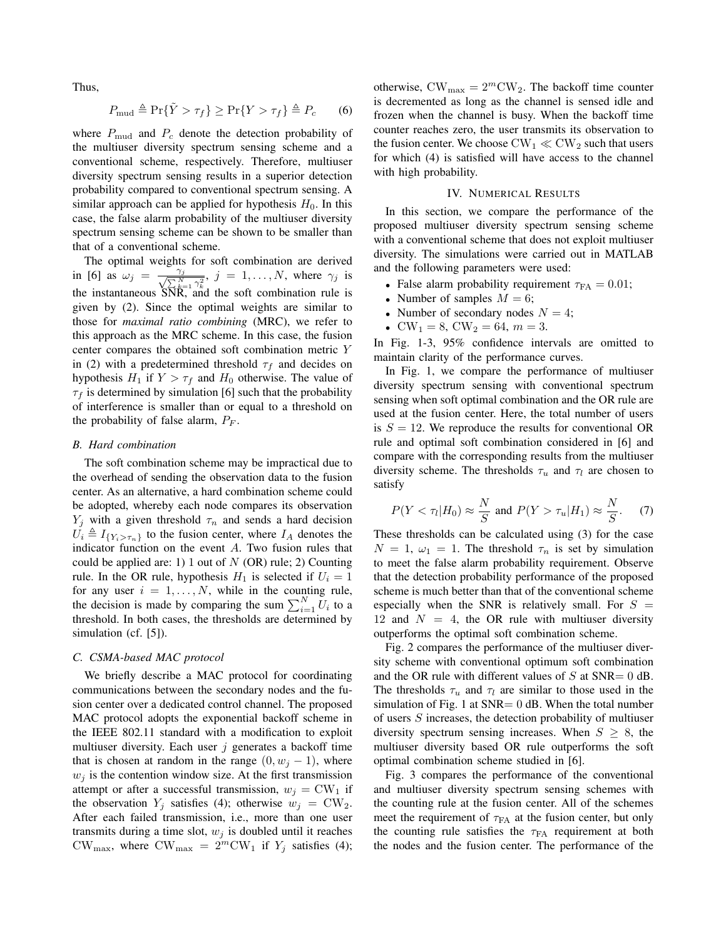Thus,

$$
P_{\text{mud}} \triangleq \Pr{\{\tilde{Y} > \tau_f\}} \ge \Pr{\{Y > \tau_f\}} \triangleq P_c \tag{6}
$$

where  $P_{\text{mud}}$  and  $P_c$  denote the detection probability of the multiuser diversity spectrum sensing scheme and a conventional scheme, respectively. Therefore, multiuser diversity spectrum sensing results in a superior detection probability compared to conventional spectrum sensing. A similar approach can be applied for hypothesis  $H_0$ . In this case, the false alarm probability of the multiuser diversity spectrum sensing scheme can be shown to be smaller than that of a conventional scheme.

The optimal weights for soft combination are derived in [6] as  $\omega_j = \frac{\gamma_j}{\sqrt{\sum_{k=1}^N \gamma_k^2}}, j = 1, \ldots, N$ , where  $\gamma_j$  is the instantaneous  $\overline{SNR}$ , and the soft combination rule is given by (2). Since the optimal weights are similar to those for *maximal ratio combining* (MRC), we refer to this approach as the MRC scheme. In this case, the fusion center compares the obtained soft combination metric Y in (2) with a predetermined threshold  $\tau_f$  and decides on hypothesis  $H_1$  if  $Y > \tau_f$  and  $H_0$  otherwise. The value of  $\tau_f$  is determined by simulation [6] such that the probability of interference is smaller than or equal to a threshold on the probability of false alarm,  $P_F$ .

#### *B. Hard combination*

The soft combination scheme may be impractical due to the overhead of sending the observation data to the fusion center. As an alternative, a hard combination scheme could be adopted, whereby each node compares its observation  $Y_j$  with a given threshold  $\tau_n$  and sends a hard decision  $U_i \triangleq I_{\{Y_i > \tau_n\}}$  to the fusion center, where  $I_A$  denotes the indicator function on the event A. Two fusion rules that could be applied are: 1) 1 out of  $N$  (OR) rule; 2) Counting rule. In the OR rule, hypothesis  $H_1$  is selected if  $U_i = 1$ for any user  $i = 1, \ldots, N$ , while in the counting rule, for any user  $i = 1, \dots, N$ , while in the counting rule,<br>the decision is made by comparing the sum  $\sum_{i=1}^{N} U_i$  to a threshold. In both cases, the thresholds are determined by simulation (cf. [5]).

#### *C. CSMA-based MAC protocol*

We briefly describe a MAC protocol for coordinating communications between the secondary nodes and the fusion center over a dedicated control channel. The proposed MAC protocol adopts the exponential backoff scheme in the IEEE 802.11 standard with a modification to exploit multiuser diversity. Each user  $j$  generates a backoff time that is chosen at random in the range  $(0, w<sub>i</sub> - 1)$ , where  $w_i$  is the contention window size. At the first transmission attempt or after a successful transmission,  $w_i = CW_1$  if the observation  $Y_j$  satisfies (4); otherwise  $w_j = CW_2$ . After each failed transmission, i.e., more than one user transmits during a time slot,  $w_j$  is doubled until it reaches CW<sub>max</sub>, where CW<sub>max</sub> =  $2^m$ CW<sub>1</sub> if Y<sub>j</sub> satisfies (4); otherwise,  $CW_{\text{max}} = 2^m CW_2$ . The backoff time counter is decremented as long as the channel is sensed idle and frozen when the channel is busy. When the backoff time counter reaches zero, the user transmits its observation to the fusion center. We choose  $CW_1 \ll CW_2$  such that users for which (4) is satisfied will have access to the channel with high probability.

## IV. NUMERICAL RESULTS

In this section, we compare the performance of the proposed multiuser diversity spectrum sensing scheme with a conventional scheme that does not exploit multiuser diversity. The simulations were carried out in MATLAB and the following parameters were used:

- False alarm probability requirement  $\tau_{FA} = 0.01$ ;
- Number of samples  $M = 6$ ;
- Number of secondary nodes  $N = 4$ ;
- $CW_1 = 8$ ,  $CW_2 = 64$ ,  $m = 3$ .

In Fig. 1-3, 95% confidence intervals are omitted to maintain clarity of the performance curves.

In Fig. 1, we compare the performance of multiuser diversity spectrum sensing with conventional spectrum sensing when soft optimal combination and the OR rule are used at the fusion center. Here, the total number of users is  $S = 12$ . We reproduce the results for conventional OR rule and optimal soft combination considered in [6] and compare with the corresponding results from the multiuser diversity scheme. The thresholds  $\tau_u$  and  $\tau_l$  are chosen to satisfy

$$
P(Y < \tau_l | H_0) \approx \frac{N}{S} \text{ and } P(Y > \tau_u | H_1) \approx \frac{N}{S}.
$$
 (7)

These thresholds can be calculated using (3) for the case  $N = 1$ ,  $\omega_1 = 1$ . The threshold  $\tau_n$  is set by simulation to meet the false alarm probability requirement. Observe that the detection probability performance of the proposed scheme is much better than that of the conventional scheme especially when the SNR is relatively small. For  $S =$ 12 and  $N = 4$ , the OR rule with multiuser diversity outperforms the optimal soft combination scheme.

Fig. 2 compares the performance of the multiuser diversity scheme with conventional optimum soft combination and the OR rule with different values of  $S$  at  $SNR = 0$  dB. The thresholds  $\tau_u$  and  $\tau_l$  are similar to those used in the simulation of Fig. 1 at  $SNR = 0$  dB. When the total number of users S increases, the detection probability of multiuser diversity spectrum sensing increases. When  $S \geq 8$ , the multiuser diversity based OR rule outperforms the soft optimal combination scheme studied in [6].

Fig. 3 compares the performance of the conventional and multiuser diversity spectrum sensing schemes with the counting rule at the fusion center. All of the schemes meet the requirement of  $\tau_{FA}$  at the fusion center, but only the counting rule satisfies the  $\tau_{FA}$  requirement at both the nodes and the fusion center. The performance of the